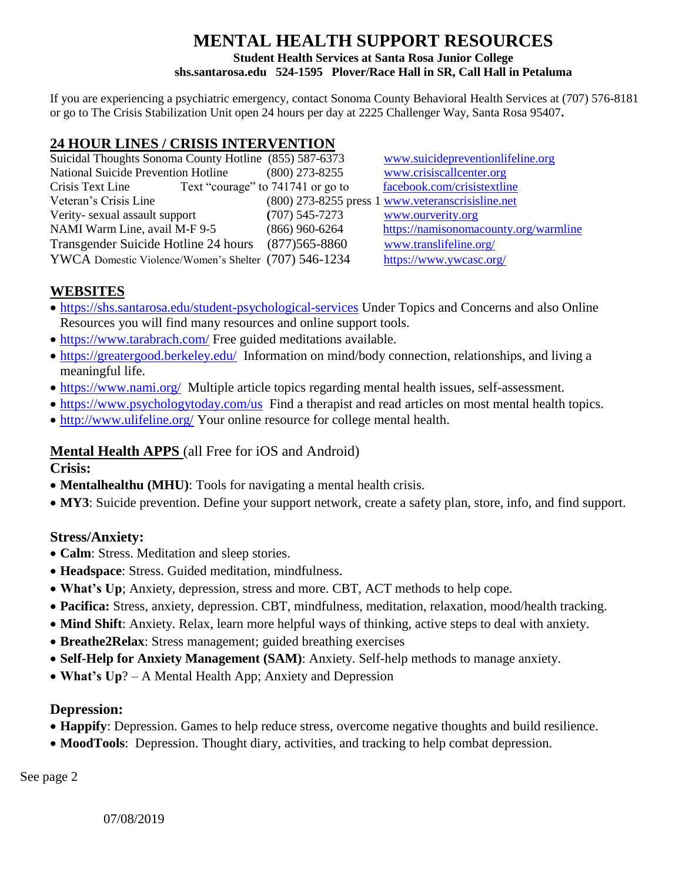## **MENTAL HEALTH SUPPORT RESOURCES Student Health Services at Santa Rosa Junior College shs.santarosa.edu 524-1595 Plover/Race Hall in SR, Call Hall in Petaluma**

If you are experiencing a psychiatric emergency, contact Sonoma County Behavioral Health Services at (707) 576-8181 or go to The Crisis Stabilization Unit open 24 hours per day at 2225 Challenger Way, Santa Rosa 95407**.**

# **24 HOUR LINES / CRISIS INTERVENTION**

| Suicidal Thoughts Sonoma County Hotline (855) 587-6373 |                   | www.suicidepreventionlifeline.org                 |
|--------------------------------------------------------|-------------------|---------------------------------------------------|
| <b>National Suicide Prevention Hotline</b>             | $(800)$ 273-8255  | www.crisiscallcenter.org                          |
| Text "courage" to 741741 or go to<br>Crisis Text Line  |                   | facebook.com/crisistextline                       |
| Veteran's Crisis Line                                  |                   | (800) 273-8255 press 1 www.veteranscrisisline.net |
| Verity-sexual assault support                          | $(707)$ 545-7273  | www.ourverity.org                                 |
| NAMI Warm Line, avail M-F 9-5                          | $(866)$ 960-6264  | https://namisonomacounty.org/warmline             |
| Transgender Suicide Hotline 24 hours                   | $(877)565 - 8860$ | www.translifeline.org/                            |
| YWCA Domestic Violence/Women's Shelter (707) 546-1234  |                   | https://www.ywcasc.org/                           |

## **WEBSITES**

- <https://shs.santarosa.edu/student-psychological-services> Under Topics and Concerns and also Online Resources you will find many resources and online support tools.
- <https://www.tarabrach.com/> Free guided meditations available.
- <https://greatergood.berkeley.edu/>Information on mind/body connection, relationships, and living a meaningful life.
- <https://www.nami.org/>Multiple article topics regarding mental health issues, self-assessment.
- <https://www.psychologytoday.com/us>Find a therapist and read articles on most mental health topics.
- <http://www.ulifeline.org/> Your online resource for college mental health.

## **Mental Health APPS** (all Free for iOS and Android)

**Crisis:**

- **Mentalhealthu (MHU)**: Tools for navigating a mental health crisis.
- **MY3**: Suicide prevention. Define your support network, create a safety plan, store, info, and find support.

#### **Stress/Anxiety:**

- **Calm**: Stress. Meditation and sleep stories.
- **Headspace**: Stress. Guided meditation, mindfulness.
- **What's Up**; Anxiety, depression, stress and more. CBT, ACT methods to help cope.
- **Pacifica:** Stress, anxiety, depression. CBT, mindfulness, meditation, relaxation, mood/health tracking.
- **Mind Shift**: Anxiety. Relax, learn more helpful ways of thinking, active steps to deal with anxiety.
- **Breathe2Relax**: Stress management; guided breathing exercises
- **Self-Help for Anxiety Management (SAM)**: Anxiety. Self-help methods to manage anxiety.
- **What's Up**? A Mental Health App; Anxiety and Depression

## **Depression:**

- **Happify**: Depression. Games to help reduce stress, overcome negative thoughts and build resilience.
- **MoodTools**: Depression. Thought diary, activities, and tracking to help combat depression.

See page 2

07/08/2019